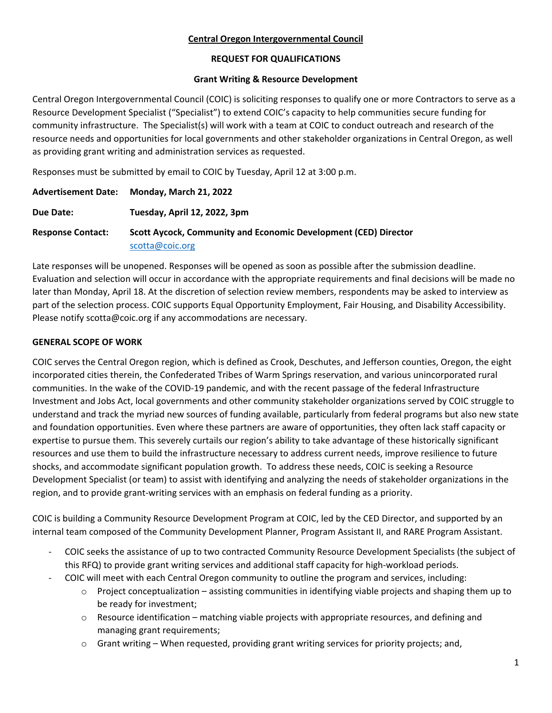#### **Central Oregon Intergovernmental Council**

#### **REQUEST FOR QUALIFICATIONS**

#### **Grant Writing & Resource Development**

Central Oregon Intergovernmental Council (COIC) is soliciting responses to qualify one or more Contractors to serve as a Resource Development Specialist ("Specialist") to extend COIC's capacity to help communities secure funding for community infrastructure. The Specialist(s) will work with a team at COIC to conduct outreach and research of the resource needs and opportunities for local governments and other stakeholder organizations in Central Oregon, as well as providing grant writing and administration services as requested.

Responses must be submitted by email to COIC by Tuesday, April 12 at 3:00 p.m.

|                          | Advertisement Date: Monday, March 21, 2022                      |  |
|--------------------------|-----------------------------------------------------------------|--|
| Due Date:                | Tuesday, April 12, 2022, 3pm                                    |  |
| <b>Response Contact:</b> | Scott Aycock, Community and Economic Development (CED) Director |  |
|                          | scotta@coic.org                                                 |  |

Late responses will be unopened. Responses will be opened as soon as possible after the submission deadline. Evaluation and selection will occur in accordance with the appropriate requirements and final decisions will be made no later than Monday, April 18. At the discretion of selection review members, respondents may be asked to interview as part of the selection process. COIC supports Equal Opportunity Employment, Fair Housing, and Disability Accessibility. Please notify scotta@coic.org if any accommodations are necessary.

# **GENERAL SCOPE OF WORK**

COIC serves the Central Oregon region, which is defined as Crook, Deschutes, and Jefferson counties, Oregon, the eight incorporated cities therein, the Confederated Tribes of Warm Springs reservation, and various unincorporated rural communities. In the wake of the COVID-19 pandemic, and with the recent passage of the federal Infrastructure Investment and Jobs Act, local governments and other community stakeholder organizations served by COIC struggle to understand and track the myriad new sources of funding available, particularly from federal programs but also new state and foundation opportunities. Even where these partners are aware of opportunities, they often lack staff capacity or expertise to pursue them. This severely curtails our region's ability to take advantage of these historically significant resources and use them to build the infrastructure necessary to address current needs, improve resilience to future shocks, and accommodate significant population growth. To address these needs, COIC is seeking a Resource Development Specialist (or team) to assist with identifying and analyzing the needs of stakeholder organizations in the region, and to provide grant-writing services with an emphasis on federal funding as a priority.

COIC is building a Community Resource Development Program at COIC, led by the CED Director, and supported by an internal team composed of the Community Development Planner, Program Assistant II, and RARE Program Assistant.

- COIC seeks the assistance of up to two contracted Community Resource Development Specialists (the subject of this RFQ) to provide grant writing services and additional staff capacity for high-workload periods.
- COIC will meet with each Central Oregon community to outline the program and services, including:
	- $\circ$  Project conceptualization assisting communities in identifying viable projects and shaping them up to be ready for investment;
	- $\circ$  Resource identification matching viable projects with appropriate resources, and defining and managing grant requirements;
	- $\circ$  Grant writing When requested, providing grant writing services for priority projects; and,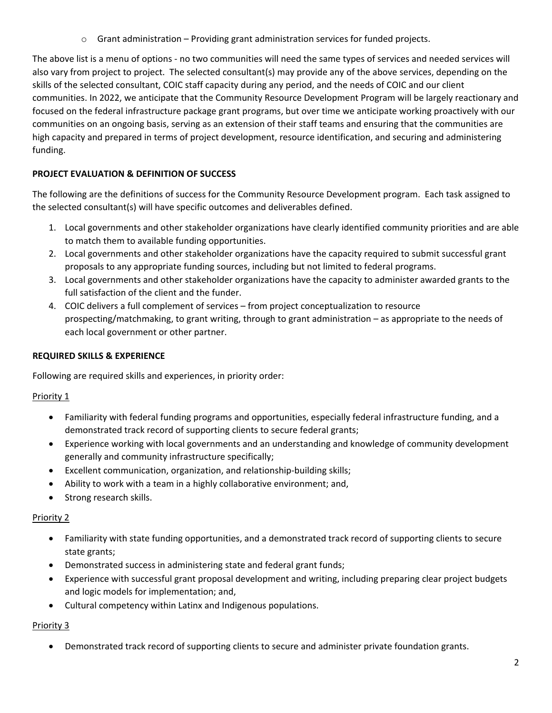$\circ$  Grant administration – Providing grant administration services for funded projects.

The above list is a menu of options - no two communities will need the same types of services and needed services will also vary from project to project. The selected consultant(s) may provide any of the above services, depending on the skills of the selected consultant, COIC staff capacity during any period, and the needs of COIC and our client communities. In 2022, we anticipate that the Community Resource Development Program will be largely reactionary and focused on the federal infrastructure package grant programs, but over time we anticipate working proactively with our communities on an ongoing basis, serving as an extension of their staff teams and ensuring that the communities are high capacity and prepared in terms of project development, resource identification, and securing and administering funding.

# **PROJECT EVALUATION & DEFINITION OF SUCCESS**

The following are the definitions of success for the Community Resource Development program. Each task assigned to the selected consultant(s) will have specific outcomes and deliverables defined.

- 1. Local governments and other stakeholder organizations have clearly identified community priorities and are able to match them to available funding opportunities.
- 2. Local governments and other stakeholder organizations have the capacity required to submit successful grant proposals to any appropriate funding sources, including but not limited to federal programs.
- 3. Local governments and other stakeholder organizations have the capacity to administer awarded grants to the full satisfaction of the client and the funder.
- 4. COIC delivers a full complement of services from project conceptualization to resource prospecting/matchmaking, to grant writing, through to grant administration – as appropriate to the needs of each local government or other partner.

# **REQUIRED SKILLS & EXPERIENCE**

Following are required skills and experiences, in priority order:

# Priority 1

- Familiarity with federal funding programs and opportunities, especially federal infrastructure funding, and a demonstrated track record of supporting clients to secure federal grants;
- Experience working with local governments and an understanding and knowledge of community development generally and community infrastructure specifically;
- Excellent communication, organization, and relationship-building skills;
- Ability to work with a team in a highly collaborative environment; and,
- Strong research skills.

# Priority 2

- Familiarity with state funding opportunities, and a demonstrated track record of supporting clients to secure state grants;
- Demonstrated success in administering state and federal grant funds;
- Experience with successful grant proposal development and writing, including preparing clear project budgets and logic models for implementation; and,
- Cultural competency within Latinx and Indigenous populations.

# Priority 3

• Demonstrated track record of supporting clients to secure and administer private foundation grants.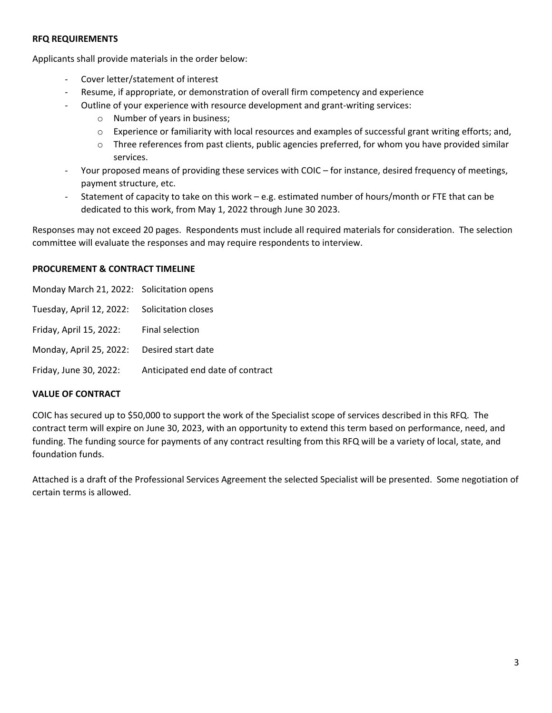#### **RFQ REQUIREMENTS**

Applicants shall provide materials in the order below:

- Cover letter/statement of interest
- Resume, if appropriate, or demonstration of overall firm competency and experience
- Outline of your experience with resource development and grant-writing services:
	- o Number of years in business;
	- o Experience or familiarity with local resources and examples of successful grant writing efforts; and,
	- $\circ$  Three references from past clients, public agencies preferred, for whom you have provided similar services.
- Your proposed means of providing these services with COIC for instance, desired frequency of meetings, payment structure, etc.
- Statement of capacity to take on this work e.g. estimated number of hours/month or FTE that can be dedicated to this work, from May 1, 2022 through June 30 2023.

Responses may not exceed 20 pages. Respondents must include all required materials for consideration. The selection committee will evaluate the responses and may require respondents to interview.

#### **PROCUREMENT & CONTRACT TIMELINE**

| Monday March 21, 2022: Solicitation opens    |                                  |
|----------------------------------------------|----------------------------------|
| Tuesday, April 12, 2022: Solicitation closes |                                  |
| Friday, April 15, 2022:                      | Final selection                  |
| Monday, April 25, 2022: Desired start date   |                                  |
| Friday, June 30, 2022:                       | Anticipated end date of contract |

#### **VALUE OF CONTRACT**

COIC has secured up to \$50,000 to support the work of the Specialist scope of services described in this RFQ. The contract term will expire on June 30, 2023, with an opportunity to extend this term based on performance, need, and funding. The funding source for payments of any contract resulting from this RFQ will be a variety of local, state, and foundation funds.

Attached is a draft of the Professional Services Agreement the selected Specialist will be presented. Some negotiation of certain terms is allowed.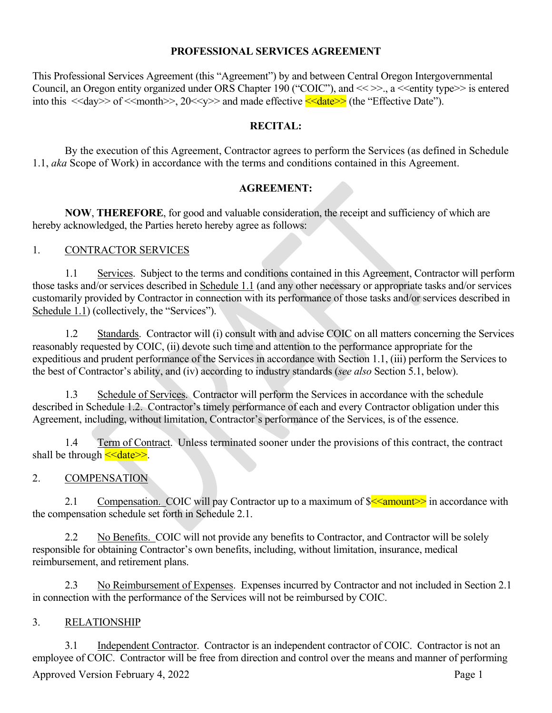# **PROFESSIONAL SERVICES AGREEMENT**

This Professional Services Agreement (this "Agreement") by and between Central Oregon Intergovernmental Council, an Oregon entity organized under ORS Chapter 190 ("COIC"), and << >>., a << entity type >> is entered into this  $\langle \langle \text{day} \rangle \rangle$  of  $\langle \text{Amount} \rangle \rangle$ , 20 $\langle \langle \text{yy} \rangle \rangle$  and made effective  $\langle \langle \text{date} \rangle \rangle$  (the "Effective Date").

# **RECITAL:**

By the execution of this Agreement, Contractor agrees to perform the Services (as defined in Schedule 1.1, *aka* Scope of Work) in accordance with the terms and conditions contained in this Agreement.

# **AGREEMENT:**

**NOW**, **THEREFORE**, for good and valuable consideration, the receipt and sufficiency of which are hereby acknowledged, the Parties hereto hereby agree as follows:

# 1. CONTRACTOR SERVICES

1.1 Services. Subject to the terms and conditions contained in this Agreement, Contractor will perform those tasks and/or services described in Schedule 1.1 (and any other necessary or appropriate tasks and/or services customarily provided by Contractor in connection with its performance of those tasks and/or services described in Schedule 1.1) (collectively, the "Services").

1.2 Standards. Contractor will (i) consult with and advise COIC on all matters concerning the Services reasonably requested by COIC, (ii) devote such time and attention to the performance appropriate for the expeditious and prudent performance of the Services in accordance with Section 1.1, (iii) perform the Services to the best of Contractor's ability, and (iv) according to industry standards (*see also* Section 5.1, below).

1.3 Schedule of Services. Contractor will perform the Services in accordance with the schedule described in Schedule 1.2. Contractor's timely performance of each and every Contractor obligation under this Agreement, including, without limitation, Contractor's performance of the Services, is of the essence.

1.4 Term of Contract. Unless terminated sooner under the provisions of this contract, the contract shall be through  $\leq$  date  $\geq$ .

# 2. COMPENSATION

2.1 Compensation. COIC will pay Contractor up to a maximum of  $\frac{\sqrt{2}}{2}$  in accordance with the compensation schedule set forth in Schedule 2.1.

2.2 No Benefits. COIC will not provide any benefits to Contractor, and Contractor will be solely responsible for obtaining Contractor's own benefits, including, without limitation, insurance, medical reimbursement, and retirement plans.

2.3 No Reimbursement of Expenses. Expenses incurred by Contractor and not included in Section 2.1 in connection with the performance of the Services will not be reimbursed by COIC.

# 3. RELATIONSHIP

Approved Version February 4, 2022 **Page 1** 3.1 Independent Contractor. Contractor is an independent contractor of COIC. Contractor is not an employee of COIC. Contractor will be free from direction and control over the means and manner of performing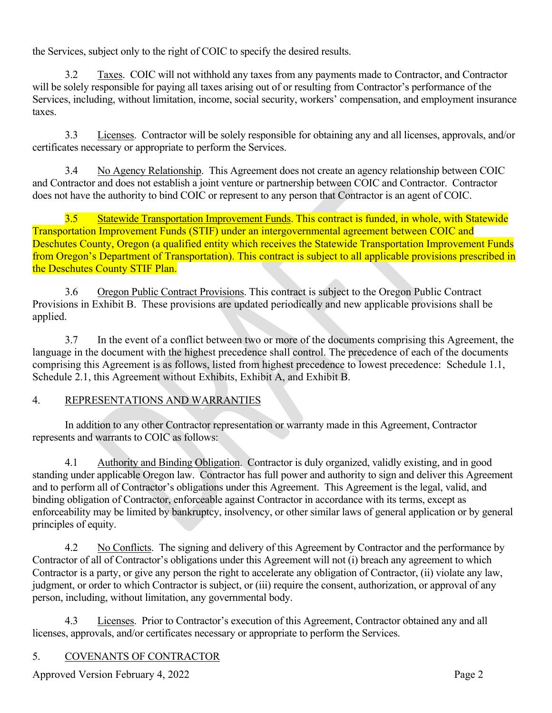the Services, subject only to the right of COIC to specify the desired results.

3.2 Taxes. COIC will not withhold any taxes from any payments made to Contractor, and Contractor will be solely responsible for paying all taxes arising out of or resulting from Contractor's performance of the Services, including, without limitation, income, social security, workers' compensation, and employment insurance taxes.

3.3 Licenses. Contractor will be solely responsible for obtaining any and all licenses, approvals, and/or certificates necessary or appropriate to perform the Services.

3.4 No Agency Relationship. This Agreement does not create an agency relationship between COIC and Contractor and does not establish a joint venture or partnership between COIC and Contractor. Contractor does not have the authority to bind COIC or represent to any person that Contractor is an agent of COIC.

3.5 Statewide Transportation Improvement Funds. This contract is funded, in whole, with Statewide Transportation Improvement Funds (STIF) under an intergovernmental agreement between COIC and Deschutes County, Oregon (a qualified entity which receives the Statewide Transportation Improvement Funds from Oregon's Department of Transportation). This contract is subject to all applicable provisions prescribed in the Deschutes County STIF Plan.

3.6 Oregon Public Contract Provisions. This contract is subject to the Oregon Public Contract Provisions in Exhibit B. These provisions are updated periodically and new applicable provisions shall be applied.

3.7 In the event of a conflict between two or more of the documents comprising this Agreement, the language in the document with the highest precedence shall control. The precedence of each of the documents comprising this Agreement is as follows, listed from highest precedence to lowest precedence: Schedule 1.1, Schedule 2.1, this Agreement without Exhibits, Exhibit A, and Exhibit B.

# 4. REPRESENTATIONS AND WARRANTIES

In addition to any other Contractor representation or warranty made in this Agreement, Contractor represents and warrants to COIC as follows:

4.1 Authority and Binding Obligation. Contractor is duly organized, validly existing, and in good standing under applicable Oregon law. Contractor has full power and authority to sign and deliver this Agreement and to perform all of Contractor's obligations under this Agreement. This Agreement is the legal, valid, and binding obligation of Contractor, enforceable against Contractor in accordance with its terms, except as enforceability may be limited by bankruptcy, insolvency, or other similar laws of general application or by general principles of equity.

4.2 No Conflicts. The signing and delivery of this Agreement by Contractor and the performance by Contractor of all of Contractor's obligations under this Agreement will not (i) breach any agreement to which Contractor is a party, or give any person the right to accelerate any obligation of Contractor, (ii) violate any law, judgment, or order to which Contractor is subject, or (iii) require the consent, authorization, or approval of any person, including, without limitation, any governmental body.

4.3 Licenses. Prior to Contractor's execution of this Agreement, Contractor obtained any and all licenses, approvals, and/or certificates necessary or appropriate to perform the Services.

# 5. COVENANTS OF CONTRACTOR

Approved Version February 4, 2022 **Page 2**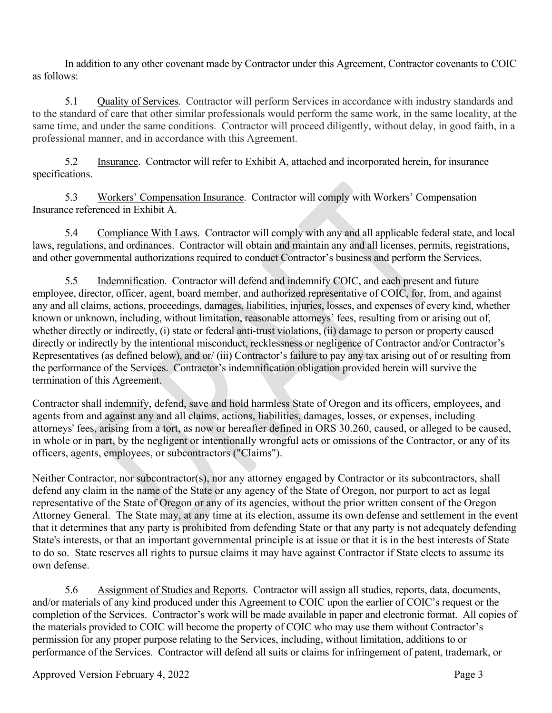In addition to any other covenant made by Contractor under this Agreement, Contractor covenants to COIC as follows:

5.1 Quality of Services. Contractor will perform Services in accordance with industry standards and to the standard of care that other similar professionals would perform the same work, in the same locality, at the same time, and under the same conditions. Contractor will proceed diligently, without delay, in good faith, in a professional manner, and in accordance with this Agreement.

5.2 Insurance. Contractor will refer to Exhibit A, attached and incorporated herein, for insurance specifications.

5.3 Workers' Compensation Insurance. Contractor will comply with Workers' Compensation Insurance referenced in Exhibit A.

5.4 Compliance With Laws. Contractor will comply with any and all applicable federal state, and local laws, regulations, and ordinances. Contractor will obtain and maintain any and all licenses, permits, registrations, and other governmental authorizations required to conduct Contractor's business and perform the Services.

5.5 Indemnification. Contractor will defend and indemnify COIC, and each present and future employee, director, officer, agent, board member, and authorized representative of COIC, for, from, and against any and all claims, actions, proceedings, damages, liabilities, injuries, losses, and expenses of every kind, whether known or unknown, including, without limitation, reasonable attorneys' fees, resulting from or arising out of, whether directly or indirectly, (i) state or federal anti-trust violations, (ii) damage to person or property caused directly or indirectly by the intentional misconduct, recklessness or negligence of Contractor and/or Contractor's Representatives (as defined below), and or/ (iii) Contractor's failure to pay any tax arising out of or resulting from the performance of the Services. Contractor's indemnification obligation provided herein will survive the termination of this Agreement.

Contractor shall indemnify, defend, save and hold harmless State of Oregon and its officers, employees, and agents from and against any and all claims, actions, liabilities, damages, losses, or expenses, including attorneys' fees, arising from a tort, as now or hereafter defined in ORS 30.260, caused, or alleged to be caused, in whole or in part, by the negligent or intentionally wrongful acts or omissions of the Contractor, or any of its officers, agents, employees, or subcontractors ("Claims").

Neither Contractor, nor subcontractor(s), nor any attorney engaged by Contractor or its subcontractors, shall defend any claim in the name of the State or any agency of the State of Oregon, nor purport to act as legal representative of the State of Oregon or any of its agencies, without the prior written consent of the Oregon Attorney General. The State may, at any time at its election, assume its own defense and settlement in the event that it determines that any party is prohibited from defending State or that any party is not adequately defending State's interests, or that an important governmental principle is at issue or that it is in the best interests of State to do so. State reserves all rights to pursue claims it may have against Contractor if State elects to assume its own defense.

5.6 Assignment of Studies and Reports. Contractor will assign all studies, reports, data, documents, and/or materials of any kind produced under this Agreement to COIC upon the earlier of COIC's request or the completion of the Services. Contractor's work will be made available in paper and electronic format. All copies of the materials provided to COIC will become the property of COIC who may use them without Contractor's permission for any proper purpose relating to the Services, including, without limitation, additions to or performance of the Services. Contractor will defend all suits or claims for infringement of patent, trademark, or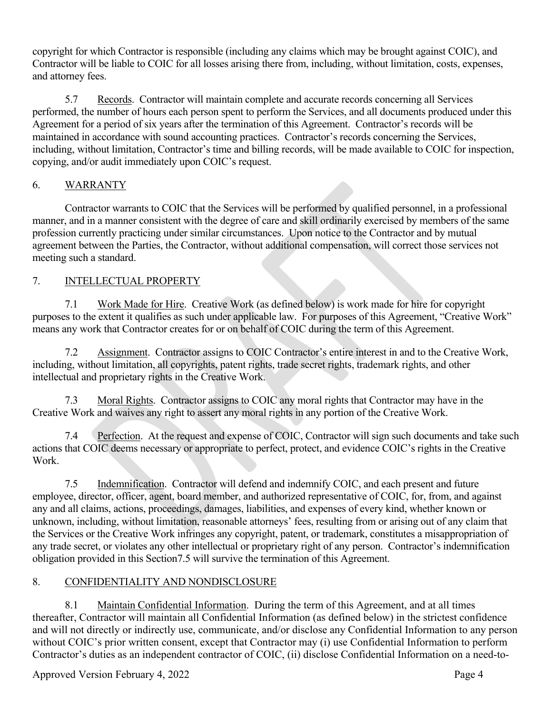copyright for which Contractor is responsible (including any claims which may be brought against COIC), and Contractor will be liable to COIC for all losses arising there from, including, without limitation, costs, expenses, and attorney fees.

5.7 Records. Contractor will maintain complete and accurate records concerning all Services performed, the number of hours each person spent to perform the Services, and all documents produced under this Agreement for a period of six years after the termination of this Agreement. Contractor's records will be maintained in accordance with sound accounting practices. Contractor's records concerning the Services, including, without limitation, Contractor's time and billing records, will be made available to COIC for inspection, copying, and/or audit immediately upon COIC's request.

# 6. WARRANTY

Contractor warrants to COIC that the Services will be performed by qualified personnel, in a professional manner, and in a manner consistent with the degree of care and skill ordinarily exercised by members of the same profession currently practicing under similar circumstances. Upon notice to the Contractor and by mutual agreement between the Parties, the Contractor, without additional compensation, will correct those services not meeting such a standard.

# 7. INTELLECTUAL PROPERTY

7.1 Work Made for Hire. Creative Work (as defined below) is work made for hire for copyright purposes to the extent it qualifies as such under applicable law. For purposes of this Agreement, "Creative Work" means any work that Contractor creates for or on behalf of COIC during the term of this Agreement.

7.2 Assignment. Contractor assigns to COIC Contractor's entire interest in and to the Creative Work, including, without limitation, all copyrights, patent rights, trade secret rights, trademark rights, and other intellectual and proprietary rights in the Creative Work.

7.3 Moral Rights. Contractor assigns to COIC any moral rights that Contractor may have in the Creative Work and waives any right to assert any moral rights in any portion of the Creative Work.

7.4 Perfection. At the request and expense of COIC, Contractor will sign such documents and take such actions that COIC deems necessary or appropriate to perfect, protect, and evidence COIC's rights in the Creative Work.

<span id="page-6-0"></span>7.5 Indemnification. Contractor will defend and indemnify COIC, and each present and future employee, director, officer, agent, board member, and authorized representative of COIC, for, from, and against any and all claims, actions, proceedings, damages, liabilities, and expenses of every kind, whether known or unknown, including, without limitation, reasonable attorneys' fees, resulting from or arising out of any claim that the Services or the Creative Work infringes any copyright, patent, or trademark, constitutes a misappropriation of any trade secret, or violates any other intellectual or proprietary right of any person. Contractor's indemnification obligation provided in this Sectio[n7.5](#page-6-0) will survive the termination of this Agreement.

# 8. CONFIDENTIALITY AND NONDISCLOSURE

<span id="page-6-1"></span>8.1 Maintain Confidential Information. During the term of this Agreement, and at all times thereafter, Contractor will maintain all Confidential Information (as defined below) in the strictest confidence and will not directly or indirectly use, communicate, and/or disclose any Confidential Information to any person without COIC's prior written consent, except that Contractor may (i) use Confidential Information to perform Contractor's duties as an independent contractor of COIC, (ii) disclose Confidential Information on a need-to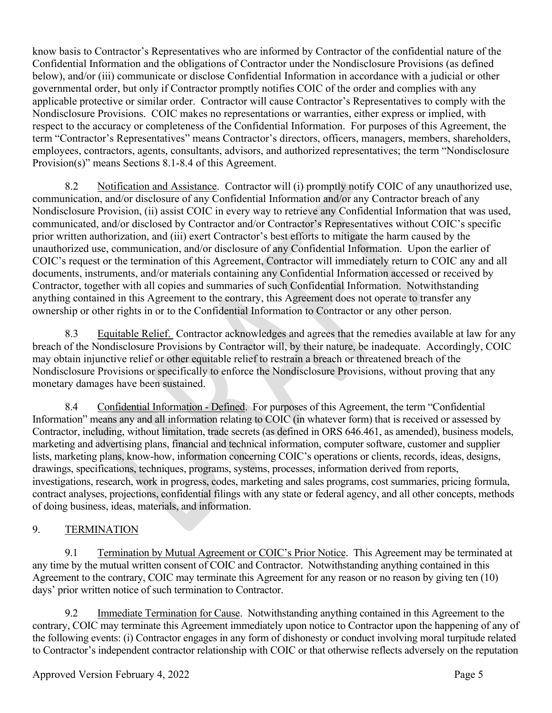know basis to Contractor's Representatives who are informed by Contractor of the confidential nature of the Confidential Information and the obligations of Contractor under the Nondisclosure Provisions (as defined below), and/or (iii) communicate or disclose Confidential Information in accordance with a judicial or other governmental order, but only if Contractor promptly notifies COIC of the order and complies with any applicable protective or similar order. Contractor will cause Contractor's Representatives to comply with the Nondisclosure Provisions. COIC makes no representations or warranties, either express or implied, with respect to the accuracy or completeness of the Confidential Information. For purposes of this Agreement, the term "Contractor's Representatives" means Contractor's directors, officers, managers, members, shareholders, employees, contractors, agents, consultants, advisors, and authorized representatives; the term "Nondisclosure Provision(s)" means Sections [8.1-](#page-6-1)[8.4](#page-7-0) of this Agreement.

8.2 Notification and Assistance. Contractor will (i) promptly notify COIC of any unauthorized use, communication, and/or disclosure of any Confidential Information and/or any Contractor breach of any Nondisclosure Provision, (ii) assist COIC in every way to retrieve any Confidential Information that was used, communicated, and/or disclosed by Contractor and/or Contractor's Representatives without COIC's specific prior written authorization, and (iii) exert Contractor's best efforts to mitigate the harm caused by the unauthorized use, communication, and/or disclosure of any Confidential Information. Upon the earlier of COIC's request or the termination of this Agreement, Contractor will immediately return to COIC any and all documents, instruments, and/or materials containing any Confidential Information accessed or received by Contractor, together with all copies and summaries of such Confidential Information. Notwithstanding anything contained in this Agreement to the contrary, this Agreement does not operate to transfer any ownership or other rights in or to the Confidential Information to Contractor or any other person.

8.3 Equitable Relief. Contractor acknowledges and agrees that the remedies available at law for any breach of the Nondisclosure Provisions by Contractor will, by their nature, be inadequate. Accordingly, COIC may obtain injunctive relief or other equitable relief to restrain a breach or threatened breach of the Nondisclosure Provisions or specifically to enforce the Nondisclosure Provisions, without proving that any monetary damages have been sustained.

<span id="page-7-0"></span>8.4 Confidential Information - Defined. For purposes of this Agreement, the term "Confidential Information" means any and all information relating to COIC (in whatever form) that is received or assessed by Contractor, including, without limitation, trade secrets (as defined in ORS 646.461, as amended), business models, marketing and advertising plans, financial and technical information, computer software, customer and supplier lists, marketing plans, know-how, information concerning COIC's operations or clients, records, ideas, designs, drawings, specifications, techniques, programs, systems, processes, information derived from reports, investigations, research, work in progress, codes, marketing and sales programs, cost summaries, pricing formula, contract analyses, projections, confidential filings with any state or federal agency, and all other concepts, methods of doing business, ideas, materials, and information.

# 9. TERMINATION

9.1 Termination by Mutual Agreement or COIC's Prior Notice. This Agreement may be terminated at any time by the mutual written consent of COIC and Contractor. Notwithstanding anything contained in this Agreement to the contrary, COIC may terminate this Agreement for any reason or no reason by giving ten (10) days' prior written notice of such termination to Contractor.

9.2 Immediate Termination for Cause. Notwithstanding anything contained in this Agreement to the contrary, COIC may terminate this Agreement immediately upon notice to Contractor upon the happening of any of the following events: (i) Contractor engages in any form of dishonesty or conduct involving moral turpitude related to Contractor's independent contractor relationship with COIC or that otherwise reflects adversely on the reputation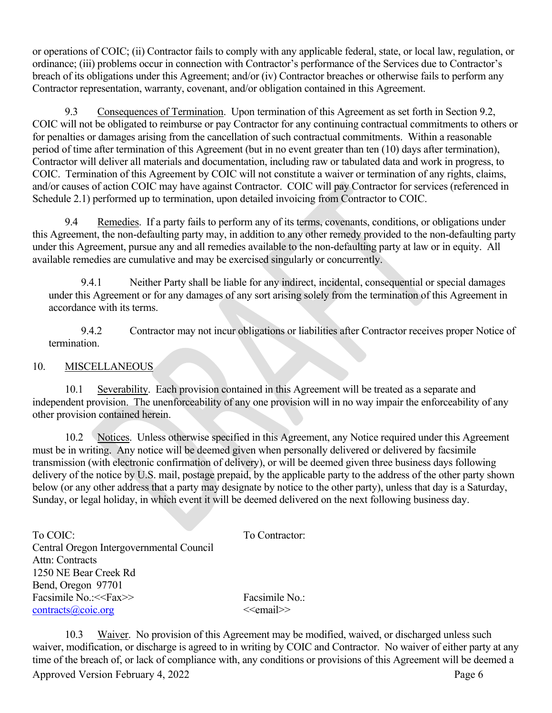or operations of COIC; (ii) Contractor fails to comply with any applicable federal, state, or local law, regulation, or ordinance; (iii) problems occur in connection with Contractor's performance of the Services due to Contractor's breach of its obligations under this Agreement; and/or (iv) Contractor breaches or otherwise fails to perform any Contractor representation, warranty, covenant, and/or obligation contained in this Agreement.

9.3 Consequences of Termination. Upon termination of this Agreement as set forth in Section 9.2, COIC will not be obligated to reimburse or pay Contractor for any continuing contractual commitments to others or for penalties or damages arising from the cancellation of such contractual commitments. Within a reasonable period of time after termination of this Agreement (but in no event greater than ten (10) days after termination), Contractor will deliver all materials and documentation, including raw or tabulated data and work in progress, to COIC. Termination of this Agreement by COIC will not constitute a waiver or termination of any rights, claims, and/or causes of action COIC may have against Contractor. COIC will pay Contractor for services (referenced in Schedule 2.1) performed up to termination, upon detailed invoicing from Contractor to COIC.

9.4 Remedies. If a party fails to perform any of its terms, covenants, conditions, or obligations under this Agreement, the non-defaulting party may, in addition to any other remedy provided to the non-defaulting party under this Agreement, pursue any and all remedies available to the non-defaulting party at law or in equity. All available remedies are cumulative and may be exercised singularly or concurrently.

9.4.1 Neither Party shall be liable for any indirect, incidental, consequential or special damages under this Agreement or for any damages of any sort arising solely from the termination of this Agreement in accordance with its terms.

9.4.2 Contractor may not incur obligations or liabilities after Contractor receives proper Notice of termination.

# 10. MISCELLANEOUS

10.1 Severability. Each provision contained in this Agreement will be treated as a separate and independent provision. The unenforceability of any one provision will in no way impair the enforceability of any other provision contained herein.

10.2 Notices. Unless otherwise specified in this Agreement, any Notice required under this Agreement must be in writing. Any notice will be deemed given when personally delivered or delivered by facsimile transmission (with electronic confirmation of delivery), or will be deemed given three business days following delivery of the notice by U.S. mail, postage prepaid, by the applicable party to the address of the other party shown below (or any other address that a party may designate by notice to the other party), unless that day is a Saturday, Sunday, or legal holiday, in which event it will be deemed delivered on the next following business day.

| To Contractor: |
|----------------|
|                |
|                |
|                |
|                |
| Facsimile No.: |
| $\le$ email>>  |
|                |

10.3 Waiver. No provision of this Agreement may be modified, waived, or discharged unless such waiver, modification, or discharge is agreed to in writing by COIC and Contractor. No waiver of either party at any time of the breach of, or lack of compliance with, any conditions or provisions of this Agreement will be deemed a

Approved Version February 4, 2022 **Page 6**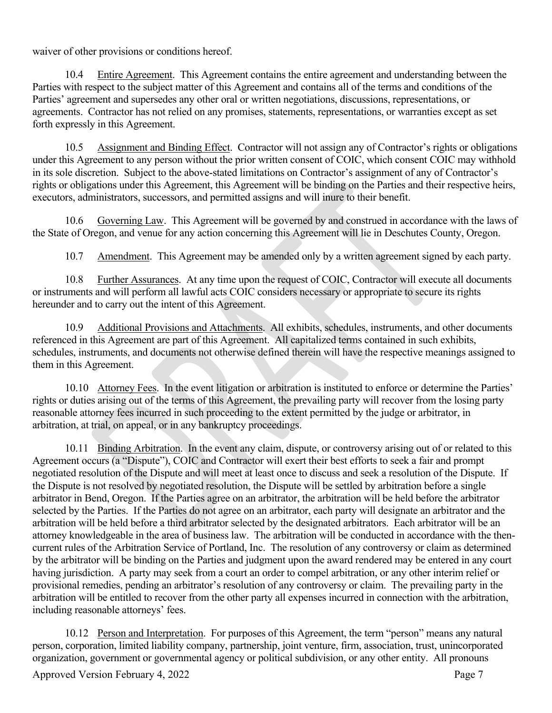waiver of other provisions or conditions hereof.

10.4 Entire Agreement. This Agreement contains the entire agreement and understanding between the Parties with respect to the subject matter of this Agreement and contains all of the terms and conditions of the Parties' agreement and supersedes any other oral or written negotiations, discussions, representations, or agreements. Contractor has not relied on any promises, statements, representations, or warranties except as set forth expressly in this Agreement.

10.5 Assignment and Binding Effect. Contractor will not assign any of Contractor's rights or obligations under this Agreement to any person without the prior written consent of COIC, which consent COIC may withhold in its sole discretion. Subject to the above-stated limitations on Contractor's assignment of any of Contractor's rights or obligations under this Agreement, this Agreement will be binding on the Parties and their respective heirs, executors, administrators, successors, and permitted assigns and will inure to their benefit.

10.6 Governing Law. This Agreement will be governed by and construed in accordance with the laws of the State of Oregon, and venue for any action concerning this Agreement will lie in Deschutes County, Oregon.

10.7 Amendment. This Agreement may be amended only by a written agreement signed by each party.

10.8 Further Assurances. At any time upon the request of COIC, Contractor will execute all documents or instruments and will perform all lawful acts COIC considers necessary or appropriate to secure its rights hereunder and to carry out the intent of this Agreement.

10.9 Additional Provisions and Attachments. All exhibits, schedules, instruments, and other documents referenced in this Agreement are part of this Agreement. All capitalized terms contained in such exhibits, schedules, instruments, and documents not otherwise defined therein will have the respective meanings assigned to them in this Agreement.

10.10 Attorney Fees. In the event litigation or arbitration is instituted to enforce or determine the Parties' rights or duties arising out of the terms of this Agreement, the prevailing party will recover from the losing party reasonable attorney fees incurred in such proceeding to the extent permitted by the judge or arbitrator, in arbitration, at trial, on appeal, or in any bankruptcy proceedings.

10.11 Binding Arbitration. In the event any claim, dispute, or controversy arising out of or related to this Agreement occurs (a "Dispute"), COIC and Contractor will exert their best efforts to seek a fair and prompt negotiated resolution of the Dispute and will meet at least once to discuss and seek a resolution of the Dispute. If the Dispute is not resolved by negotiated resolution, the Dispute will be settled by arbitration before a single arbitrator in Bend, Oregon. If the Parties agree on an arbitrator, the arbitration will be held before the arbitrator selected by the Parties. If the Parties do not agree on an arbitrator, each party will designate an arbitrator and the arbitration will be held before a third arbitrator selected by the designated arbitrators. Each arbitrator will be an attorney knowledgeable in the area of business law. The arbitration will be conducted in accordance with the thencurrent rules of the Arbitration Service of Portland, Inc. The resolution of any controversy or claim as determined by the arbitrator will be binding on the Parties and judgment upon the award rendered may be entered in any court having jurisdiction. A party may seek from a court an order to compel arbitration, or any other interim relief or provisional remedies, pending an arbitrator's resolution of any controversy or claim. The prevailing party in the arbitration will be entitled to recover from the other party all expenses incurred in connection with the arbitration, including reasonable attorneys' fees.

10.12 Person and Interpretation. For purposes of this Agreement, the term "person" means any natural person, corporation, limited liability company, partnership, joint venture, firm, association, trust, unincorporated organization, government or governmental agency or political subdivision, or any other entity. All pronouns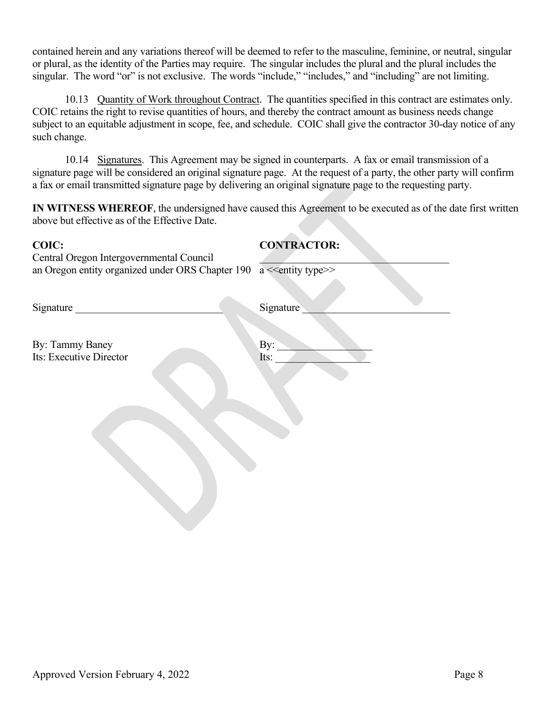contained herein and any variations thereof will be deemed to refer to the masculine, feminine, or neutral, singular or plural, as the identity of the Parties may require. The singular includes the plural and the plural includes the singular. The word "or" is not exclusive. The words "include," "includes," and "including" are not limiting.

10.13 Quantity of Work throughout Contract. The quantities specified in this contract are estimates only. COIC retains the right to revise quantities of hours, and thereby the contract amount as business needs change subject to an equitable adjustment in scope, fee, and schedule. COIC shall give the contractor 30-day notice of any such change.

10.14 Signatures. This Agreement may be signed in counterparts. A fax or email transmission of a signature page will be considered an original signature page. At the request of a party, the other party will confirm a fax or email transmitted signature page by delivering an original signature page to the requesting party.

**IN WITNESS WHEREOF**, the undersigned have caused this Agreement to be executed as of the date first written above but effective as of the Effective Date.

# **COIC: CONTRACTOR:**

Central Oregon Intergovernmental Council \_\_\_\_\_\_\_\_\_\_\_\_\_\_\_\_\_\_\_\_\_\_\_\_\_\_\_\_\_\_\_\_\_\_\_\_ an Oregon entity organized under ORS Chapter  $190$  a  $\leq$  entity type $\geq$ 

Signature \_\_\_\_\_\_\_\_\_\_\_\_\_\_\_\_\_\_\_\_\_\_\_\_\_\_\_\_ Signature \_\_\_\_\_\_\_\_\_\_\_\_\_\_\_\_\_\_\_\_\_\_\_\_\_\_\_\_

By: Tammy Baney Its: Executive Director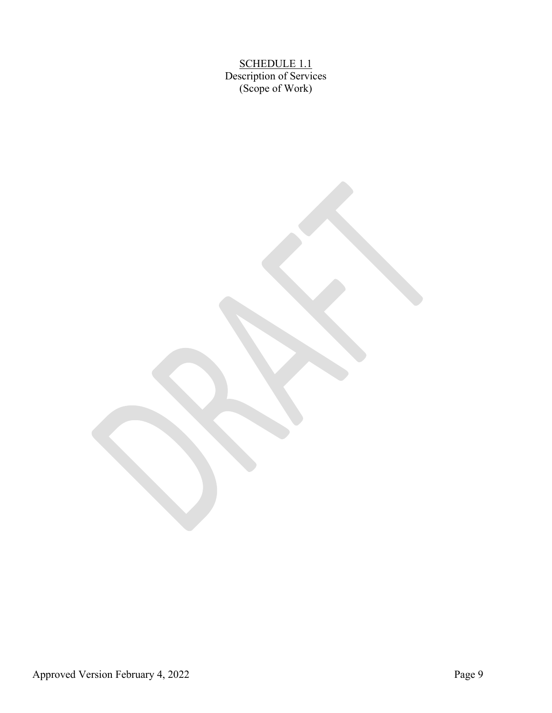SCHEDULE 1.1 Description of Services (Scope of Work)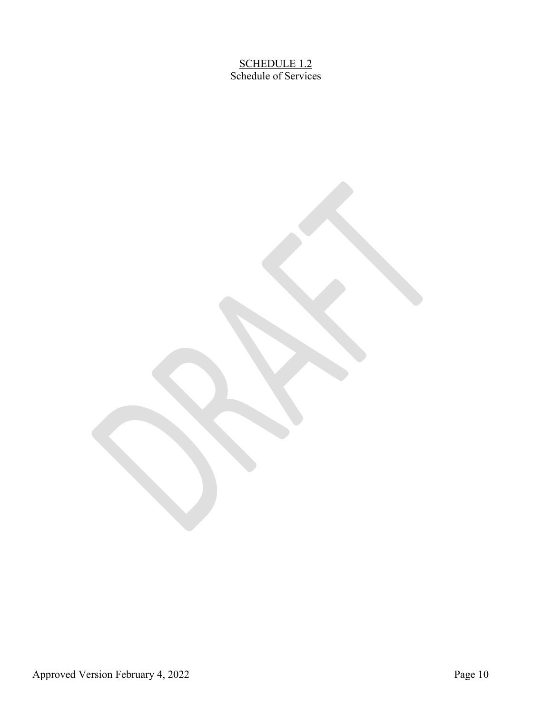SCHEDULE 1.2 Schedule of Services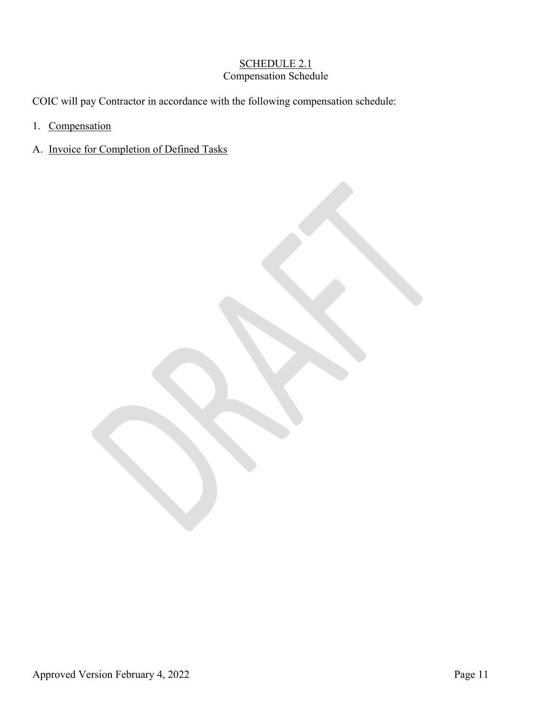# SCHEDULE 2.1 Compensation Schedule

COIC will pay Contractor in accordance with the following compensation schedule:

- 1. Compensation
- A. Invoice for Completion of Defined Tasks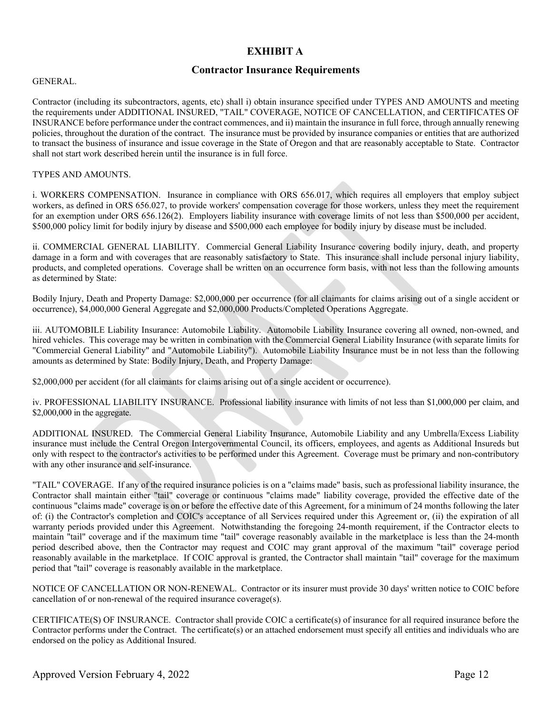# **EXHIBIT A**

#### **Contractor Insurance Requirements**

#### GENERAL.

Contractor (including its subcontractors, agents, etc) shall i) obtain insurance specified under TYPES AND AMOUNTS and meeting the requirements under ADDITIONAL INSURED, "TAIL" COVERAGE, NOTICE OF CANCELLATION, and CERTIFICATES OF INSURANCE before performance under the contract commences, and ii) maintain the insurance in full force, through annually renewing policies, throughout the duration of the contract. The insurance must be provided by insurance companies or entities that are authorized to transact the business of insurance and issue coverage in the State of Oregon and that are reasonably acceptable to State. Contractor shall not start work described herein until the insurance is in full force.

#### TYPES AND AMOUNTS.

i. WORKERS COMPENSATION. Insurance in compliance with ORS 656.017, which requires all employers that employ subject workers, as defined in ORS 656.027, to provide workers' compensation coverage for those workers, unless they meet the requirement for an exemption under ORS 656.126(2). Employers liability insurance with coverage limits of not less than \$500,000 per accident, \$500,000 policy limit for bodily injury by disease and \$500,000 each employee for bodily injury by disease must be included.

ii. COMMERCIAL GENERAL LIABILITY. Commercial General Liability Insurance covering bodily injury, death, and property damage in a form and with coverages that are reasonably satisfactory to State. This insurance shall include personal injury liability, products, and completed operations. Coverage shall be written on an occurrence form basis, with not less than the following amounts as determined by State:

Bodily Injury, Death and Property Damage: \$2,000,000 per occurrence (for all claimants for claims arising out of a single accident or occurrence), \$4,000,000 General Aggregate and \$2,000,000 Products/Completed Operations Aggregate.

iii. AUTOMOBILE Liability Insurance: Automobile Liability. Automobile Liability Insurance covering all owned, non-owned, and hired vehicles. This coverage may be written in combination with the Commercial General Liability Insurance (with separate limits for "Commercial General Liability" and "Automobile Liability"). Automobile Liability Insurance must be in not less than the following amounts as determined by State: Bodily Injury, Death, and Property Damage:

\$2,000,000 per accident (for all claimants for claims arising out of a single accident or occurrence).

iv. PROFESSIONAL LIABILITY INSURANCE. Professional liability insurance with limits of not less than \$1,000,000 per claim, and \$2,000,000 in the aggregate.

ADDITIONAL INSURED. The Commercial General Liability Insurance, Automobile Liability and any Umbrella/Excess Liability insurance must include the Central Oregon Intergovernmental Council, its officers, employees, and agents as Additional Insureds but only with respect to the contractor's activities to be performed under this Agreement. Coverage must be primary and non-contributory with any other insurance and self-insurance.

"TAIL" COVERAGE. If any of the required insurance policies is on a "claims made" basis, such as professional liability insurance, the Contractor shall maintain either "tail" coverage or continuous "claims made" liability coverage, provided the effective date of the continuous "claims made" coverage is on or before the effective date of this Agreement, for a minimum of 24 months following the later of: (i) the Contractor's completion and COIC's acceptance of all Services required under this Agreement or, (ii) the expiration of all warranty periods provided under this Agreement. Notwithstanding the foregoing 24-month requirement, if the Contractor elects to maintain "tail" coverage and if the maximum time "tail" coverage reasonably available in the marketplace is less than the 24-month period described above, then the Contractor may request and COIC may grant approval of the maximum "tail" coverage period reasonably available in the marketplace. If COIC approval is granted, the Contractor shall maintain "tail" coverage for the maximum period that "tail" coverage is reasonably available in the marketplace.

NOTICE OF CANCELLATION OR NON-RENEWAL. Contractor or its insurer must provide 30 days' written notice to COIC before cancellation of or non-renewal of the required insurance coverage(s).

CERTIFICATE(S) OF INSURANCE. Contractor shall provide COIC a certificate(s) of insurance for all required insurance before the Contractor performs under the Contract. The certificate(s) or an attached endorsement must specify all entities and individuals who are endorsed on the policy as Additional Insured.